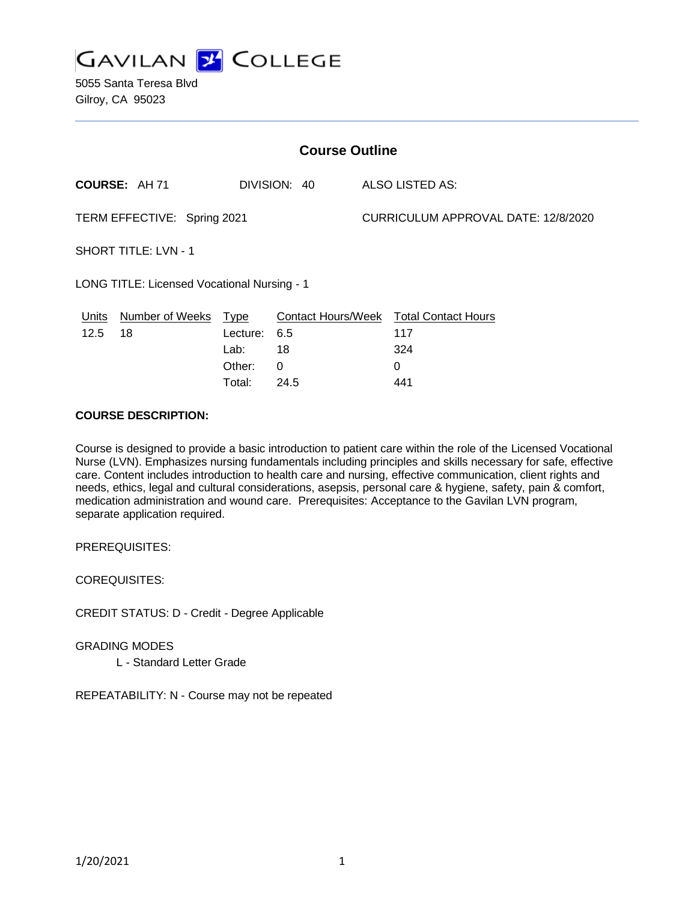

5055 Santa Teresa Blvd Gilroy, CA 95023

| <b>Course Outline</b>                       |                        |             |                        |                                     |                                        |
|---------------------------------------------|------------------------|-------------|------------------------|-------------------------------------|----------------------------------------|
| COURSE: AH 71<br>DIVISION: 40               |                        |             | <b>ALSO LISTED AS:</b> |                                     |                                        |
| TERM EFFECTIVE: Spring 2021                 |                        |             |                        | CURRICULUM APPROVAL DATE: 12/8/2020 |                                        |
| <b>SHORT TITLE: LVN - 1</b>                 |                        |             |                        |                                     |                                        |
| LONG TITLE: Licensed Vocational Nursing - 1 |                        |             |                        |                                     |                                        |
| Units                                       | <b>Number of Weeks</b> | <u>Type</u> |                        |                                     | Contact Hours/Week Total Contact Hours |
| 12.5                                        | 18                     | Lecture:    | 6.5                    |                                     | 117                                    |
|                                             |                        | Lab:        | 18                     |                                     | 324                                    |
|                                             |                        | Other:      | $\Omega$               |                                     | 0                                      |
|                                             |                        | Total:      | 24.5                   |                                     | 441                                    |

#### **COURSE DESCRIPTION:**

Course is designed to provide a basic introduction to patient care within the role of the Licensed Vocational Nurse (LVN). Emphasizes nursing fundamentals including principles and skills necessary for safe, effective care. Content includes introduction to health care and nursing, effective communication, client rights and needs, ethics, legal and cultural considerations, asepsis, personal care & hygiene, safety, pain & comfort, medication administration and wound care. Prerequisites: Acceptance to the Gavilan LVN program, separate application required.

PREREQUISITES:

COREQUISITES:

CREDIT STATUS: D - Credit - Degree Applicable

GRADING MODES

L - Standard Letter Grade

REPEATABILITY: N - Course may not be repeated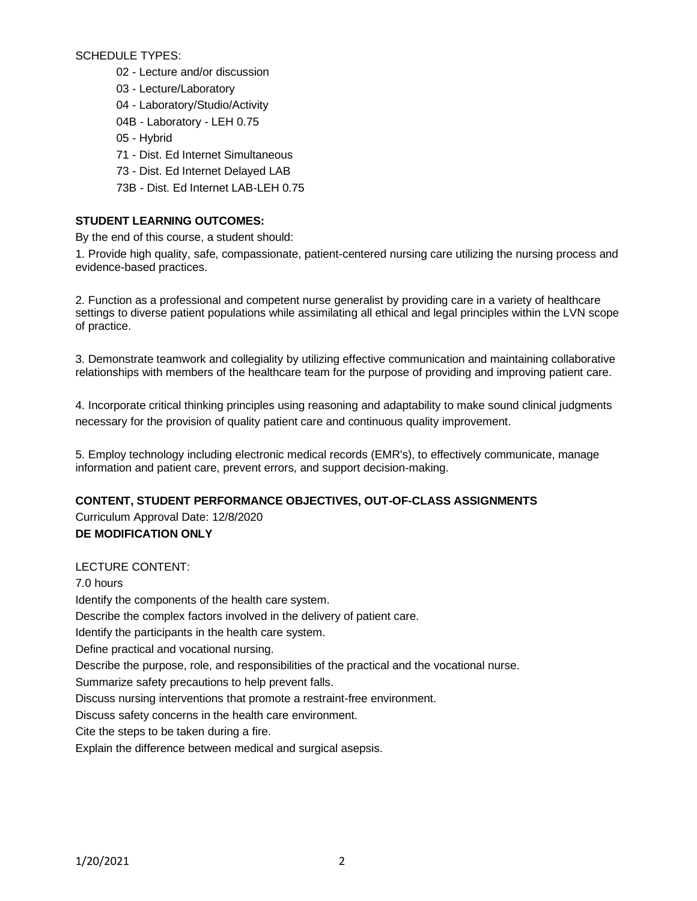SCHEDULE TYPES:

- 02 Lecture and/or discussion
- 03 Lecture/Laboratory
- 04 Laboratory/Studio/Activity
- 04B Laboratory LEH 0.75
- 05 Hybrid
- 71 Dist. Ed Internet Simultaneous
- 73 Dist. Ed Internet Delayed LAB
- 73B Dist. Ed Internet LAB-LEH 0.75

### **STUDENT LEARNING OUTCOMES:**

By the end of this course, a student should:

1. Provide high quality, safe, compassionate, patient-centered nursing care utilizing the nursing process and evidence-based practices.

2. Function as a professional and competent nurse generalist by providing care in a variety of healthcare settings to diverse patient populations while assimilating all ethical and legal principles within the LVN scope of practice.

3. Demonstrate teamwork and collegiality by utilizing effective communication and maintaining collaborative relationships with members of the healthcare team for the purpose of providing and improving patient care.

4. Incorporate critical thinking principles using reasoning and adaptability to make sound clinical judgments necessary for the provision of quality patient care and continuous quality improvement.

5. Employ technology including electronic medical records (EMR's), to effectively communicate, manage information and patient care, prevent errors, and support decision-making.

### **CONTENT, STUDENT PERFORMANCE OBJECTIVES, OUT-OF-CLASS ASSIGNMENTS**

Curriculum Approval Date: 12/8/2020 **DE MODIFICATION ONLY**

### LECTURE CONTENT:

7.0 hours Identify the components of the health care system. Describe the complex factors involved in the delivery of patient care. Identify the participants in the health care system. Define practical and vocational nursing. Describe the purpose, role, and responsibilities of the practical and the vocational nurse. Summarize safety precautions to help prevent falls. Discuss nursing interventions that promote a restraint-free environment. Discuss safety concerns in the health care environment. Cite the steps to be taken during a fire. Explain the difference between medical and surgical asepsis.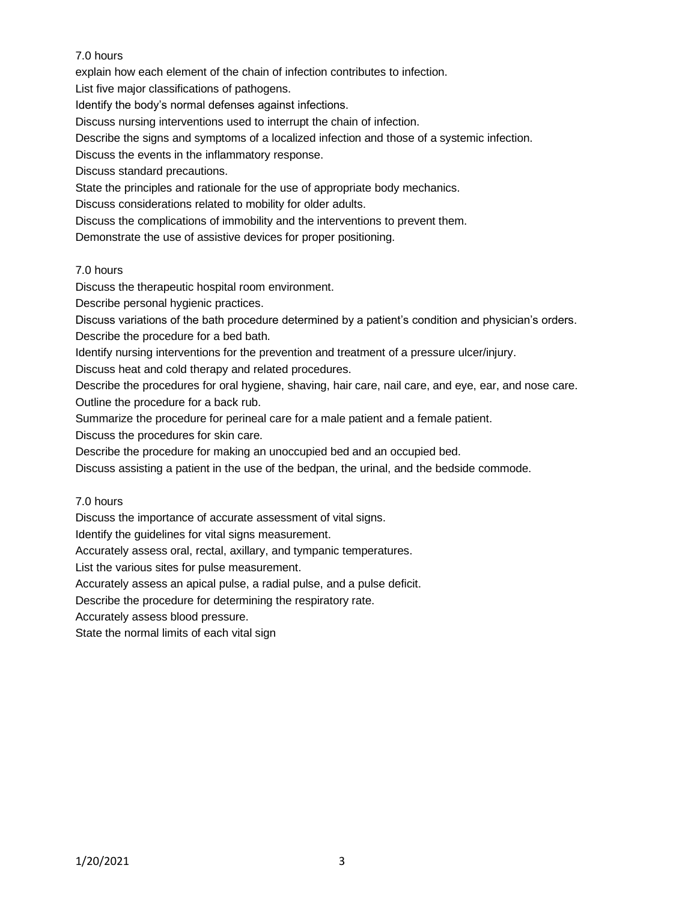# 7.0 hours

explain how each element of the chain of infection contributes to infection.

List five major classifications of pathogens.

Identify the body's normal defenses against infections.

Discuss nursing interventions used to interrupt the chain of infection.

Describe the signs and symptoms of a localized infection and those of a systemic infection.

Discuss the events in the inflammatory response.

Discuss standard precautions.

State the principles and rationale for the use of appropriate body mechanics.

Discuss considerations related to mobility for older adults.

Discuss the complications of immobility and the interventions to prevent them.

Demonstrate the use of assistive devices for proper positioning.

### 7.0 hours

Discuss the therapeutic hospital room environment.

Describe personal hygienic practices.

Discuss variations of the bath procedure determined by a patient's condition and physician's orders. Describe the procedure for a bed bath.

Identify nursing interventions for the prevention and treatment of a pressure ulcer/injury.

Discuss heat and cold therapy and related procedures.

Describe the procedures for oral hygiene, shaving, hair care, nail care, and eye, ear, and nose care. Outline the procedure for a back rub.

Summarize the procedure for perineal care for a male patient and a female patient.

Discuss the procedures for skin care.

Describe the procedure for making an unoccupied bed and an occupied bed.

Discuss assisting a patient in the use of the bedpan, the urinal, and the bedside commode.

### 7.0 hours

Discuss the importance of accurate assessment of vital signs.

Identify the guidelines for vital signs measurement.

Accurately assess oral, rectal, axillary, and tympanic temperatures.

List the various sites for pulse measurement.

Accurately assess an apical pulse, a radial pulse, and a pulse deficit.

Describe the procedure for determining the respiratory rate.

Accurately assess blood pressure.

State the normal limits of each vital sign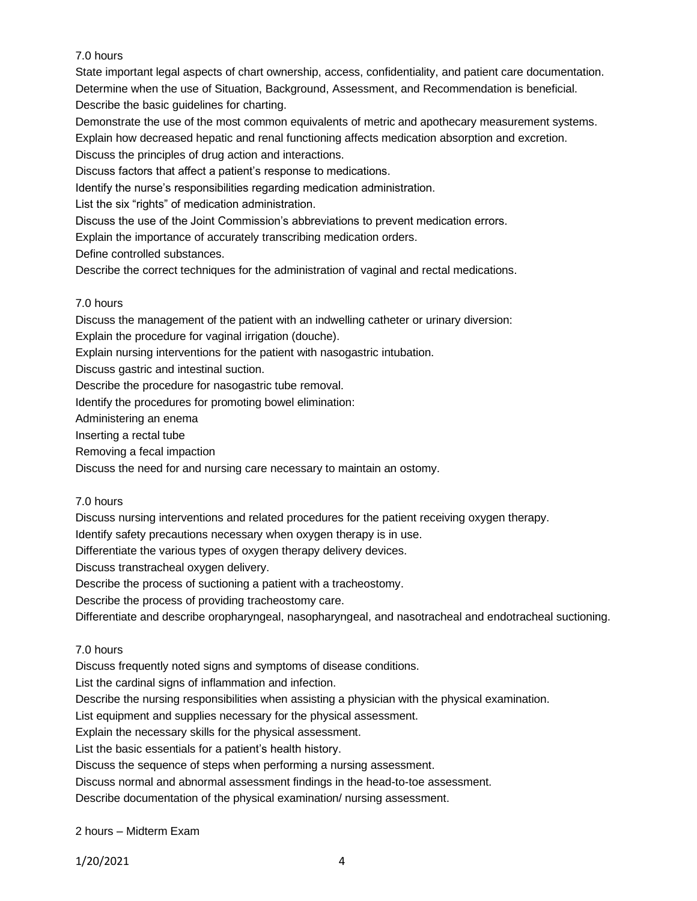# 7.0 hours

State important legal aspects of chart ownership, access, confidentiality, and patient care documentation. Determine when the use of Situation, Background, Assessment, and Recommendation is beneficial. Describe the basic guidelines for charting.

Demonstrate the use of the most common equivalents of metric and apothecary measurement systems. Explain how decreased hepatic and renal functioning affects medication absorption and excretion. Discuss the principles of drug action and interactions.

Discuss factors that affect a patient's response to medications.

Identify the nurse's responsibilities regarding medication administration.

List the six "rights" of medication administration.

Discuss the use of the Joint Commission's abbreviations to prevent medication errors.

Explain the importance of accurately transcribing medication orders.

Define controlled substances.

Describe the correct techniques for the administration of vaginal and rectal medications.

### 7.0 hours

Discuss the management of the patient with an indwelling catheter or urinary diversion:

Explain the procedure for vaginal irrigation (douche).

Explain nursing interventions for the patient with nasogastric intubation.

Discuss gastric and intestinal suction.

Describe the procedure for nasogastric tube removal.

Identify the procedures for promoting bowel elimination:

Administering an enema

Inserting a rectal tube

Removing a fecal impaction

Discuss the need for and nursing care necessary to maintain an ostomy.

### 7.0 hours

Discuss nursing interventions and related procedures for the patient receiving oxygen therapy.

Identify safety precautions necessary when oxygen therapy is in use.

Differentiate the various types of oxygen therapy delivery devices.

Discuss transtracheal oxygen delivery.

Describe the process of suctioning a patient with a tracheostomy.

Describe the process of providing tracheostomy care.

Differentiate and describe oropharyngeal, nasopharyngeal, and nasotracheal and endotracheal suctioning.

### 7.0 hours

Discuss frequently noted signs and symptoms of disease conditions.

List the cardinal signs of inflammation and infection.

Describe the nursing responsibilities when assisting a physician with the physical examination.

List equipment and supplies necessary for the physical assessment.

Explain the necessary skills for the physical assessment.

List the basic essentials for a patient's health history.

Discuss the sequence of steps when performing a nursing assessment.

Discuss normal and abnormal assessment findings in the head-to-toe assessment.

Describe documentation of the physical examination/ nursing assessment.

### 2 hours – Midterm Exam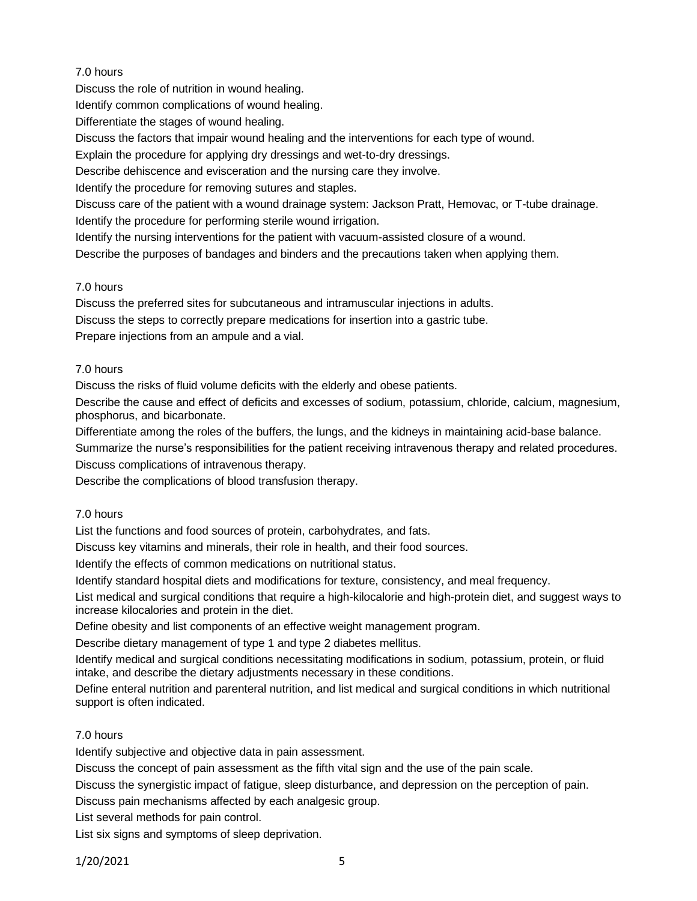# 7.0 hours

Discuss the role of nutrition in wound healing.

Identify common complications of wound healing.

Differentiate the stages of wound healing.

Discuss the factors that impair wound healing and the interventions for each type of wound.

Explain the procedure for applying dry dressings and wet-to-dry dressings.

Describe dehiscence and evisceration and the nursing care they involve.

Identify the procedure for removing sutures and staples.

Discuss care of the patient with a wound drainage system: Jackson Pratt, Hemovac, or T-tube drainage. Identify the procedure for performing sterile wound irrigation.

Identify the nursing interventions for the patient with vacuum-assisted closure of a wound.

Describe the purposes of bandages and binders and the precautions taken when applying them.

# 7.0 hours

Discuss the preferred sites for subcutaneous and intramuscular injections in adults.

Discuss the steps to correctly prepare medications for insertion into a gastric tube.

Prepare injections from an ampule and a vial.

# 7.0 hours

Discuss the risks of fluid volume deficits with the elderly and obese patients.

Describe the cause and effect of deficits and excesses of sodium, potassium, chloride, calcium, magnesium, phosphorus, and bicarbonate.

Differentiate among the roles of the buffers, the lungs, and the kidneys in maintaining acid-base balance.

Summarize the nurse's responsibilities for the patient receiving intravenous therapy and related procedures.

Discuss complications of intravenous therapy.

Describe the complications of blood transfusion therapy.

# 7.0 hours

List the functions and food sources of protein, carbohydrates, and fats.

Discuss key vitamins and minerals, their role in health, and their food sources.

Identify the effects of common medications on nutritional status.

Identify standard hospital diets and modifications for texture, consistency, and meal frequency.

List medical and surgical conditions that require a high-kilocalorie and high-protein diet, and suggest ways to increase kilocalories and protein in the diet.

Define obesity and list components of an effective weight management program.

Describe dietary management of type 1 and type 2 diabetes mellitus.

Identify medical and surgical conditions necessitating modifications in sodium, potassium, protein, or fluid intake, and describe the dietary adjustments necessary in these conditions.

Define enteral nutrition and parenteral nutrition, and list medical and surgical conditions in which nutritional support is often indicated.

# 7.0 hours

Identify subjective and objective data in pain assessment.

Discuss the concept of pain assessment as the fifth vital sign and the use of the pain scale.

Discuss the synergistic impact of fatigue, sleep disturbance, and depression on the perception of pain.

Discuss pain mechanisms affected by each analgesic group.

List several methods for pain control.

List six signs and symptoms of sleep deprivation.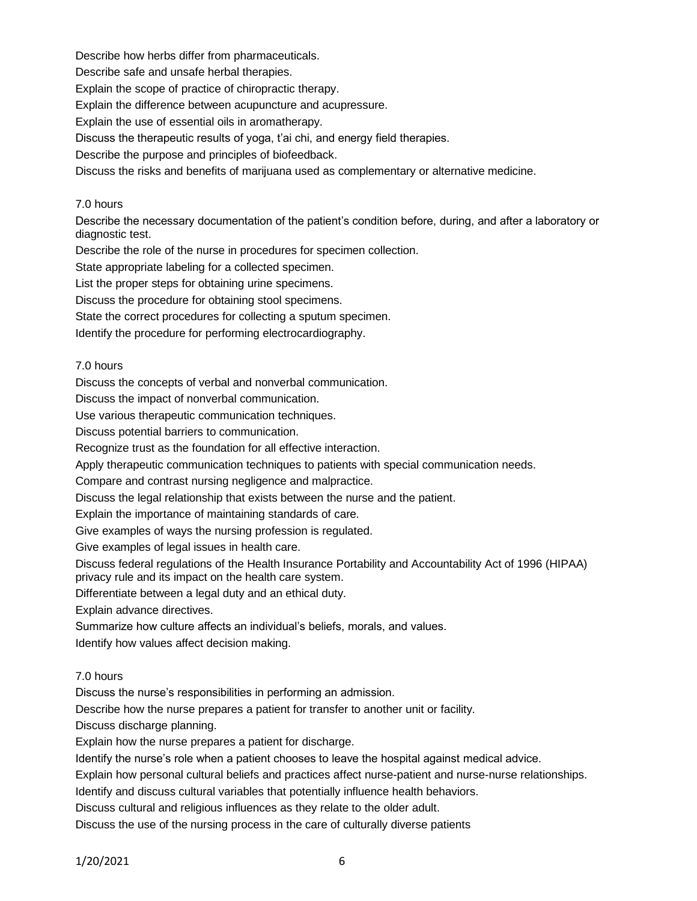Describe how herbs differ from pharmaceuticals.

Describe safe and unsafe herbal therapies.

Explain the scope of practice of chiropractic therapy.

Explain the difference between acupuncture and acupressure.

Explain the use of essential oils in aromatherapy.

Discuss the therapeutic results of yoga, t'ai chi, and energy field therapies.

Describe the purpose and principles of biofeedback.

Discuss the risks and benefits of marijuana used as complementary or alternative medicine.

### 7.0 hours

Describe the necessary documentation of the patient's condition before, during, and after a laboratory or diagnostic test.

Describe the role of the nurse in procedures for specimen collection.

State appropriate labeling for a collected specimen.

List the proper steps for obtaining urine specimens.

Discuss the procedure for obtaining stool specimens.

State the correct procedures for collecting a sputum specimen.

Identify the procedure for performing electrocardiography.

### 7.0 hours

Discuss the concepts of verbal and nonverbal communication.

Discuss the impact of nonverbal communication.

Use various therapeutic communication techniques.

Discuss potential barriers to communication.

Recognize trust as the foundation for all effective interaction.

Apply therapeutic communication techniques to patients with special communication needs.

Compare and contrast nursing negligence and malpractice.

Discuss the legal relationship that exists between the nurse and the patient.

Explain the importance of maintaining standards of care.

Give examples of ways the nursing profession is regulated.

Give examples of legal issues in health care.

Discuss federal regulations of the Health Insurance Portability and Accountability Act of 1996 (HIPAA) privacy rule and its impact on the health care system.

Differentiate between a legal duty and an ethical duty.

Explain advance directives.

Summarize how culture affects an individual's beliefs, morals, and values.

Identify how values affect decision making.

# 7.0 hours

Discuss the nurse's responsibilities in performing an admission.

Describe how the nurse prepares a patient for transfer to another unit or facility.

Discuss discharge planning.

Explain how the nurse prepares a patient for discharge.

Identify the nurse's role when a patient chooses to leave the hospital against medical advice.

Explain how personal cultural beliefs and practices affect nurse-patient and nurse-nurse relationships.

Identify and discuss cultural variables that potentially influence health behaviors.

Discuss cultural and religious influences as they relate to the older adult.

Discuss the use of the nursing process in the care of culturally diverse patients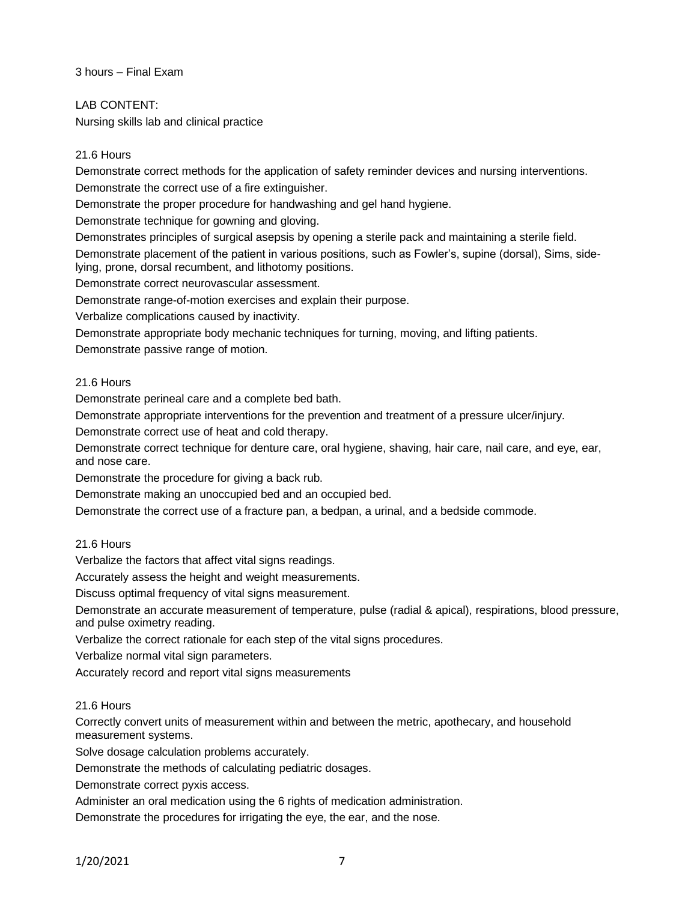3 hours – Final Exam

LAB CONTENT:

Nursing skills lab and clinical practice

# 21.6 Hours

Demonstrate correct methods for the application of safety reminder devices and nursing interventions. Demonstrate the correct use of a fire extinguisher.

Demonstrate the proper procedure for handwashing and gel hand hygiene.

Demonstrate technique for gowning and gloving.

Demonstrates principles of surgical asepsis by opening a sterile pack and maintaining a sterile field. Demonstrate placement of the patient in various positions, such as Fowler's, supine (dorsal), Sims, sidelying, prone, dorsal recumbent, and lithotomy positions.

Demonstrate correct neurovascular assessment.

Demonstrate range-of-motion exercises and explain their purpose.

Verbalize complications caused by inactivity.

Demonstrate appropriate body mechanic techniques for turning, moving, and lifting patients.

Demonstrate passive range of motion.

### 21.6 Hours

Demonstrate perineal care and a complete bed bath.

Demonstrate appropriate interventions for the prevention and treatment of a pressure ulcer/injury.

Demonstrate correct use of heat and cold therapy.

Demonstrate correct technique for denture care, oral hygiene, shaving, hair care, nail care, and eye, ear, and nose care.

Demonstrate the procedure for giving a back rub.

Demonstrate making an unoccupied bed and an occupied bed.

Demonstrate the correct use of a fracture pan, a bedpan, a urinal, and a bedside commode.

# 21.6 Hours

Verbalize the factors that affect vital signs readings.

Accurately assess the height and weight measurements.

Discuss optimal frequency of vital signs measurement.

Demonstrate an accurate measurement of temperature, pulse (radial & apical), respirations, blood pressure, and pulse oximetry reading.

Verbalize the correct rationale for each step of the vital signs procedures.

Verbalize normal vital sign parameters.

Accurately record and report vital signs measurements

### 21.6 Hours

Correctly convert units of measurement within and between the metric, apothecary, and household measurement systems.

Solve dosage calculation problems accurately.

Demonstrate the methods of calculating pediatric dosages.

Demonstrate correct pyxis access.

Administer an oral medication using the 6 rights of medication administration.

Demonstrate the procedures for irrigating the eye, the ear, and the nose.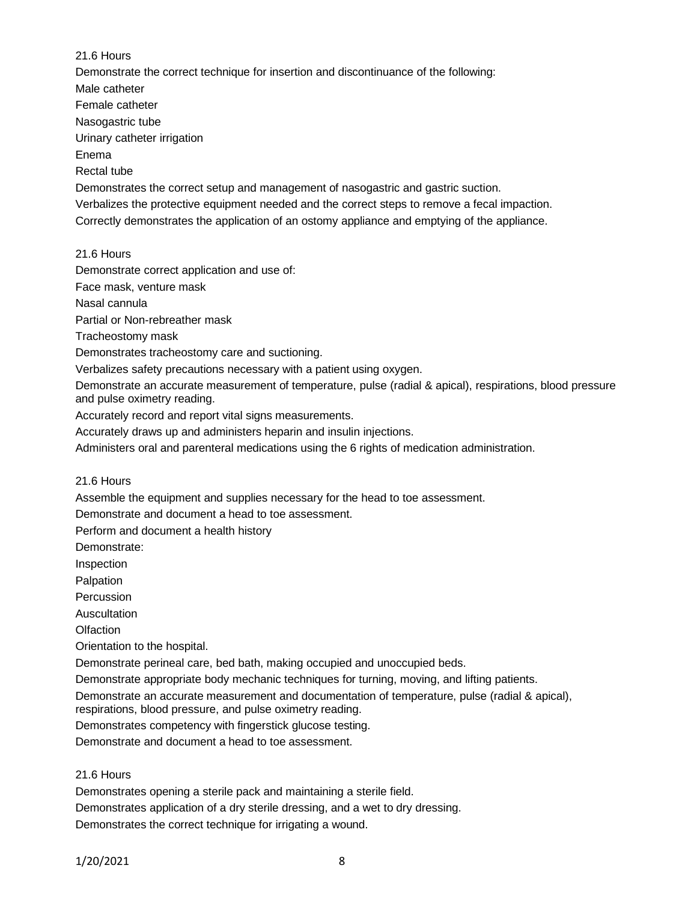### 21.6 Hours

Demonstrate the correct technique for insertion and discontinuance of the following:

Male catheter

Female catheter

Nasogastric tube

Urinary catheter irrigation

Enema

Rectal tube

Demonstrates the correct setup and management of nasogastric and gastric suction.

Verbalizes the protective equipment needed and the correct steps to remove a fecal impaction.

Correctly demonstrates the application of an ostomy appliance and emptying of the appliance.

21.6 Hours

Demonstrate correct application and use of:

Face mask, venture mask

Nasal cannula

Partial or Non-rebreather mask

Tracheostomy mask

Demonstrates tracheostomy care and suctioning.

Verbalizes safety precautions necessary with a patient using oxygen.

Demonstrate an accurate measurement of temperature, pulse (radial & apical), respirations, blood pressure and pulse oximetry reading.

Accurately record and report vital signs measurements.

Accurately draws up and administers heparin and insulin injections.

Administers oral and parenteral medications using the 6 rights of medication administration.

21.6 Hours

Assemble the equipment and supplies necessary for the head to toe assessment.

Demonstrate and document a head to toe assessment.

Perform and document a health history

Demonstrate:

Inspection

Palpation

**Percussion** 

Auscultation

**Olfaction** 

Orientation to the hospital.

Demonstrate perineal care, bed bath, making occupied and unoccupied beds.

Demonstrate appropriate body mechanic techniques for turning, moving, and lifting patients.

Demonstrate an accurate measurement and documentation of temperature, pulse (radial & apical),

respirations, blood pressure, and pulse oximetry reading.

Demonstrates competency with fingerstick glucose testing.

Demonstrate and document a head to toe assessment.

# 21.6 Hours

Demonstrates opening a sterile pack and maintaining a sterile field.

Demonstrates application of a dry sterile dressing, and a wet to dry dressing.

Demonstrates the correct technique for irrigating a wound.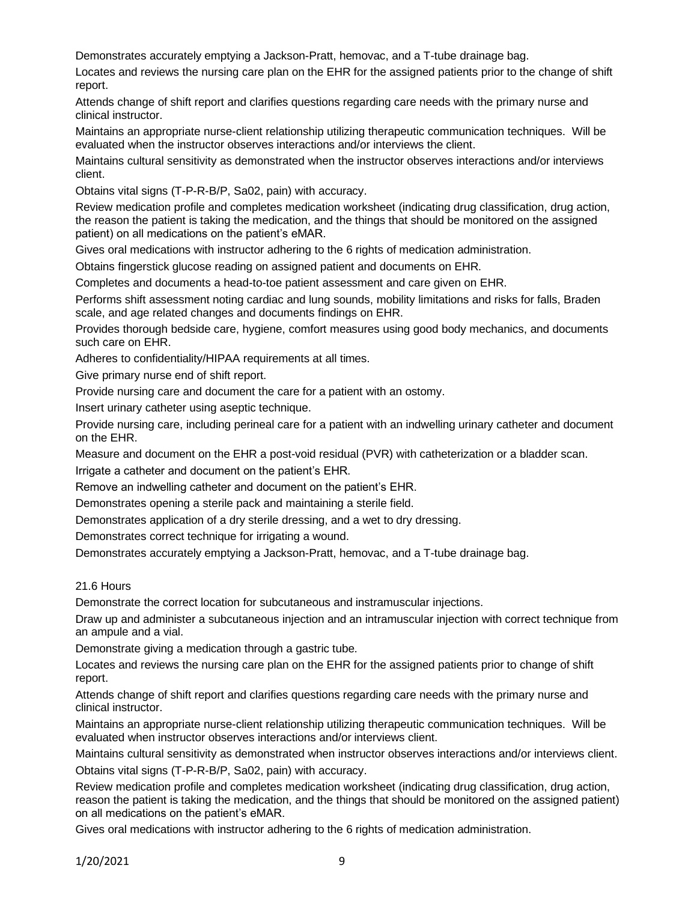Demonstrates accurately emptying a Jackson-Pratt, hemovac, and a T-tube drainage bag.

Locates and reviews the nursing care plan on the EHR for the assigned patients prior to the change of shift report.

Attends change of shift report and clarifies questions regarding care needs with the primary nurse and clinical instructor.

Maintains an appropriate nurse-client relationship utilizing therapeutic communication techniques. Will be evaluated when the instructor observes interactions and/or interviews the client.

Maintains cultural sensitivity as demonstrated when the instructor observes interactions and/or interviews client.

Obtains vital signs (T-P-R-B/P, Sa02, pain) with accuracy.

Review medication profile and completes medication worksheet (indicating drug classification, drug action, the reason the patient is taking the medication, and the things that should be monitored on the assigned patient) on all medications on the patient's eMAR.

Gives oral medications with instructor adhering to the 6 rights of medication administration.

Obtains fingerstick glucose reading on assigned patient and documents on EHR.

Completes and documents a head-to-toe patient assessment and care given on EHR.

Performs shift assessment noting cardiac and lung sounds, mobility limitations and risks for falls, Braden scale, and age related changes and documents findings on EHR.

Provides thorough bedside care, hygiene, comfort measures using good body mechanics, and documents such care on EHR.

Adheres to confidentiality/HIPAA requirements at all times.

Give primary nurse end of shift report.

Provide nursing care and document the care for a patient with an ostomy.

Insert urinary catheter using aseptic technique.

Provide nursing care, including perineal care for a patient with an indwelling urinary catheter and document on the EHR.

Measure and document on the EHR a post-void residual (PVR) with catheterization or a bladder scan.

Irrigate a catheter and document on the patient's EHR.

Remove an indwelling catheter and document on the patient's EHR.

Demonstrates opening a sterile pack and maintaining a sterile field.

Demonstrates application of a dry sterile dressing, and a wet to dry dressing.

Demonstrates correct technique for irrigating a wound.

Demonstrates accurately emptying a Jackson-Pratt, hemovac, and a T-tube drainage bag.

#### 21.6 Hours

Demonstrate the correct location for subcutaneous and instramuscular injections.

Draw up and administer a subcutaneous injection and an intramuscular injection with correct technique from an ampule and a vial.

Demonstrate giving a medication through a gastric tube.

Locates and reviews the nursing care plan on the EHR for the assigned patients prior to change of shift report.

Attends change of shift report and clarifies questions regarding care needs with the primary nurse and clinical instructor.

Maintains an appropriate nurse-client relationship utilizing therapeutic communication techniques. Will be evaluated when instructor observes interactions and/or interviews client.

Maintains cultural sensitivity as demonstrated when instructor observes interactions and/or interviews client. Obtains vital signs (T-P-R-B/P, Sa02, pain) with accuracy.

Review medication profile and completes medication worksheet (indicating drug classification, drug action, reason the patient is taking the medication, and the things that should be monitored on the assigned patient) on all medications on the patient's eMAR.

Gives oral medications with instructor adhering to the 6 rights of medication administration.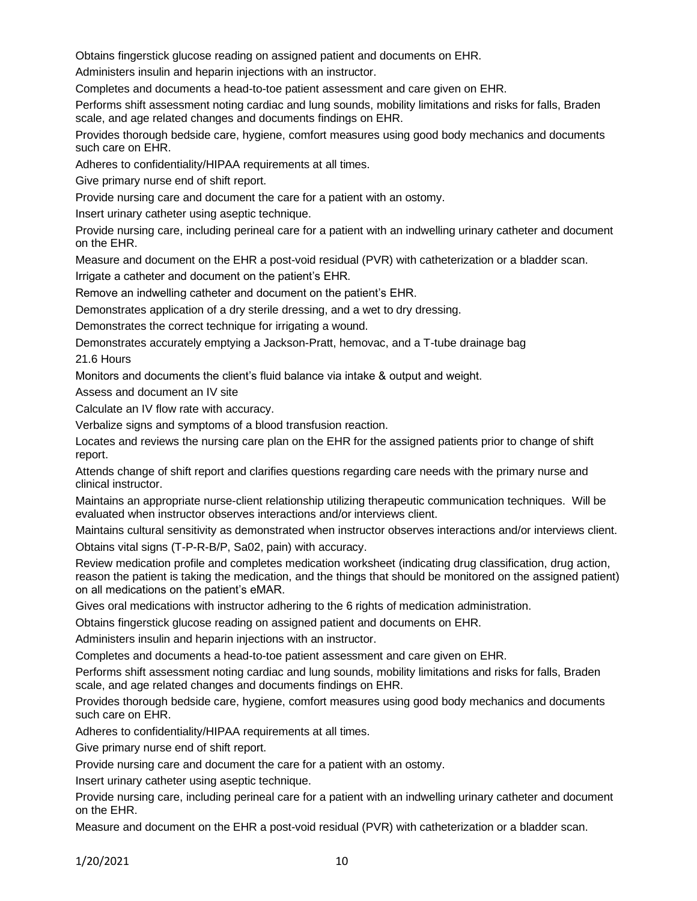Obtains fingerstick glucose reading on assigned patient and documents on EHR.

Administers insulin and heparin injections with an instructor.

Completes and documents a head-to-toe patient assessment and care given on EHR.

Performs shift assessment noting cardiac and lung sounds, mobility limitations and risks for falls, Braden scale, and age related changes and documents findings on EHR.

Provides thorough bedside care, hygiene, comfort measures using good body mechanics and documents such care on EHR.

Adheres to confidentiality/HIPAA requirements at all times.

Give primary nurse end of shift report.

Provide nursing care and document the care for a patient with an ostomy.

Insert urinary catheter using aseptic technique.

Provide nursing care, including perineal care for a patient with an indwelling urinary catheter and document on the EHR.

Measure and document on the EHR a post-void residual (PVR) with catheterization or a bladder scan.

Irrigate a catheter and document on the patient's EHR.

Remove an indwelling catheter and document on the patient's EHR.

Demonstrates application of a dry sterile dressing, and a wet to dry dressing.

Demonstrates the correct technique for irrigating a wound.

Demonstrates accurately emptying a Jackson-Pratt, hemovac, and a T-tube drainage bag

21.6 Hours

Monitors and documents the client's fluid balance via intake & output and weight.

Assess and document an IV site

Calculate an IV flow rate with accuracy.

Verbalize signs and symptoms of a blood transfusion reaction.

Locates and reviews the nursing care plan on the EHR for the assigned patients prior to change of shift report.

Attends change of shift report and clarifies questions regarding care needs with the primary nurse and clinical instructor.

Maintains an appropriate nurse-client relationship utilizing therapeutic communication techniques. Will be evaluated when instructor observes interactions and/or interviews client.

Maintains cultural sensitivity as demonstrated when instructor observes interactions and/or interviews client.

Obtains vital signs (T-P-R-B/P, Sa02, pain) with accuracy.

Review medication profile and completes medication worksheet (indicating drug classification, drug action, reason the patient is taking the medication, and the things that should be monitored on the assigned patient) on all medications on the patient's eMAR.

Gives oral medications with instructor adhering to the 6 rights of medication administration.

Obtains fingerstick glucose reading on assigned patient and documents on EHR.

Administers insulin and heparin injections with an instructor.

Completes and documents a head-to-toe patient assessment and care given on EHR.

Performs shift assessment noting cardiac and lung sounds, mobility limitations and risks for falls, Braden scale, and age related changes and documents findings on EHR.

Provides thorough bedside care, hygiene, comfort measures using good body mechanics and documents such care on EHR.

Adheres to confidentiality/HIPAA requirements at all times.

Give primary nurse end of shift report.

Provide nursing care and document the care for a patient with an ostomy.

Insert urinary catheter using aseptic technique.

Provide nursing care, including perineal care for a patient with an indwelling urinary catheter and document on the EHR.

Measure and document on the EHR a post-void residual (PVR) with catheterization or a bladder scan.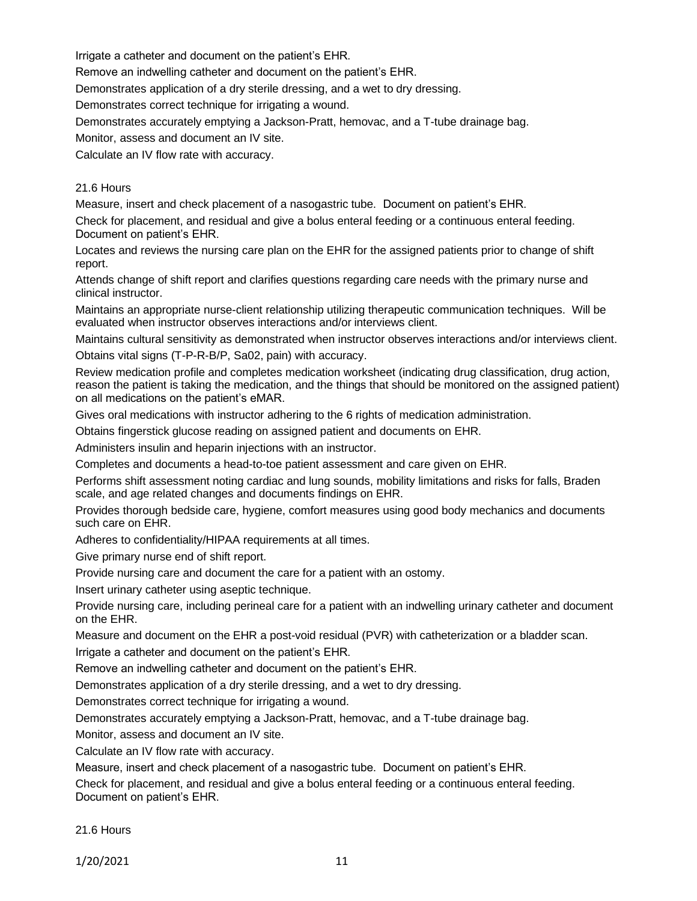Irrigate a catheter and document on the patient's EHR.

Remove an indwelling catheter and document on the patient's EHR.

Demonstrates application of a dry sterile dressing, and a wet to dry dressing.

Demonstrates correct technique for irrigating a wound.

Demonstrates accurately emptying a Jackson-Pratt, hemovac, and a T-tube drainage bag.

Monitor, assess and document an IV site.

Calculate an IV flow rate with accuracy.

### 21.6 Hours

Measure, insert and check placement of a nasogastric tube. Document on patient's EHR.

Check for placement, and residual and give a bolus enteral feeding or a continuous enteral feeding. Document on patient's EHR.

Locates and reviews the nursing care plan on the EHR for the assigned patients prior to change of shift report.

Attends change of shift report and clarifies questions regarding care needs with the primary nurse and clinical instructor.

Maintains an appropriate nurse-client relationship utilizing therapeutic communication techniques. Will be evaluated when instructor observes interactions and/or interviews client.

Maintains cultural sensitivity as demonstrated when instructor observes interactions and/or interviews client.

Obtains vital signs (T-P-R-B/P, Sa02, pain) with accuracy.

Review medication profile and completes medication worksheet (indicating drug classification, drug action, reason the patient is taking the medication, and the things that should be monitored on the assigned patient) on all medications on the patient's eMAR.

Gives oral medications with instructor adhering to the 6 rights of medication administration.

Obtains fingerstick glucose reading on assigned patient and documents on EHR.

Administers insulin and heparin injections with an instructor.

Completes and documents a head-to-toe patient assessment and care given on EHR.

Performs shift assessment noting cardiac and lung sounds, mobility limitations and risks for falls, Braden scale, and age related changes and documents findings on EHR.

Provides thorough bedside care, hygiene, comfort measures using good body mechanics and documents such care on EHR.

Adheres to confidentiality/HIPAA requirements at all times.

Give primary nurse end of shift report.

Provide nursing care and document the care for a patient with an ostomy.

Insert urinary catheter using aseptic technique.

Provide nursing care, including perineal care for a patient with an indwelling urinary catheter and document on the EHR.

Measure and document on the EHR a post-void residual (PVR) with catheterization or a bladder scan. Irrigate a catheter and document on the patient's EHR.

Remove an indwelling catheter and document on the patient's EHR.

Demonstrates application of a dry sterile dressing, and a wet to dry dressing.

Demonstrates correct technique for irrigating a wound.

Demonstrates accurately emptying a Jackson-Pratt, hemovac, and a T-tube drainage bag.

Monitor, assess and document an IV site.

Calculate an IV flow rate with accuracy.

Measure, insert and check placement of a nasogastric tube. Document on patient's EHR.

Check for placement, and residual and give a bolus enteral feeding or a continuous enteral feeding. Document on patient's EHR.

21.6 Hours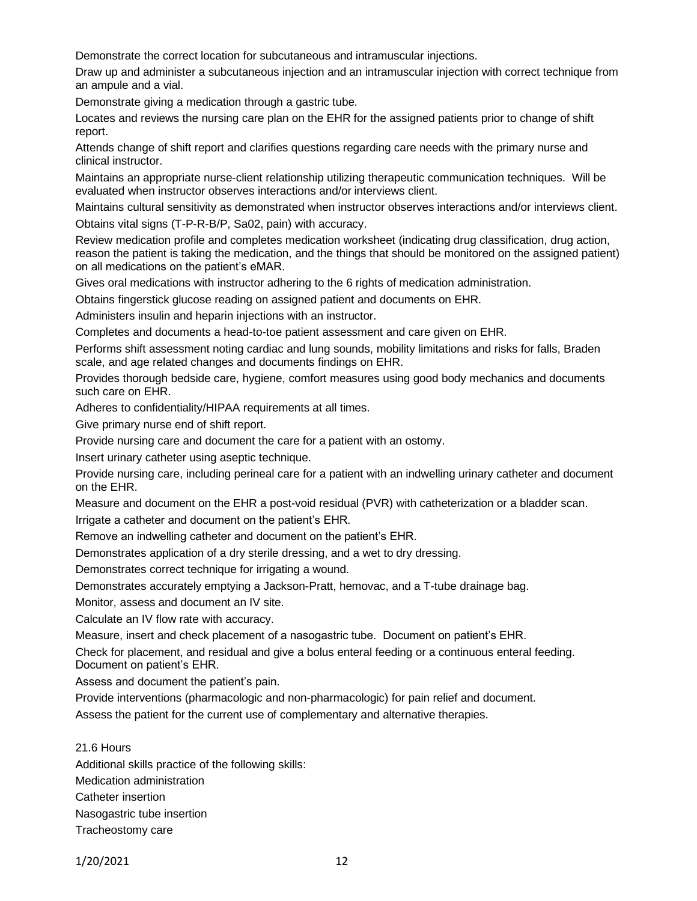Demonstrate the correct location for subcutaneous and intramuscular injections.

Draw up and administer a subcutaneous injection and an intramuscular injection with correct technique from an ampule and a vial.

Demonstrate giving a medication through a gastric tube.

Locates and reviews the nursing care plan on the EHR for the assigned patients prior to change of shift report.

Attends change of shift report and clarifies questions regarding care needs with the primary nurse and clinical instructor.

Maintains an appropriate nurse-client relationship utilizing therapeutic communication techniques. Will be evaluated when instructor observes interactions and/or interviews client.

Maintains cultural sensitivity as demonstrated when instructor observes interactions and/or interviews client.

Obtains vital signs (T-P-R-B/P, Sa02, pain) with accuracy.

Review medication profile and completes medication worksheet (indicating drug classification, drug action, reason the patient is taking the medication, and the things that should be monitored on the assigned patient) on all medications on the patient's eMAR.

Gives oral medications with instructor adhering to the 6 rights of medication administration.

Obtains fingerstick glucose reading on assigned patient and documents on EHR.

Administers insulin and heparin injections with an instructor.

Completes and documents a head-to-toe patient assessment and care given on EHR.

Performs shift assessment noting cardiac and lung sounds, mobility limitations and risks for falls, Braden scale, and age related changes and documents findings on EHR.

Provides thorough bedside care, hygiene, comfort measures using good body mechanics and documents such care on EHR.

Adheres to confidentiality/HIPAA requirements at all times.

Give primary nurse end of shift report.

Provide nursing care and document the care for a patient with an ostomy.

Insert urinary catheter using aseptic technique.

Provide nursing care, including perineal care for a patient with an indwelling urinary catheter and document on the EHR.

Measure and document on the EHR a post-void residual (PVR) with catheterization or a bladder scan. Irrigate a catheter and document on the patient's EHR.

Remove an indwelling catheter and document on the patient's EHR.

Demonstrates application of a dry sterile dressing, and a wet to dry dressing.

Demonstrates correct technique for irrigating a wound.

Demonstrates accurately emptying a Jackson-Pratt, hemovac, and a T-tube drainage bag.

Monitor, assess and document an IV site.

Calculate an IV flow rate with accuracy.

Measure, insert and check placement of a nasogastric tube. Document on patient's EHR.

Check for placement, and residual and give a bolus enteral feeding or a continuous enteral feeding. Document on patient's EHR.

Assess and document the patient's pain.

Provide interventions (pharmacologic and non-pharmacologic) for pain relief and document.

Assess the patient for the current use of complementary and alternative therapies.

21.6 Hours Additional skills practice of the following skills:

Medication administration

Catheter insertion

Nasogastric tube insertion

Tracheostomy care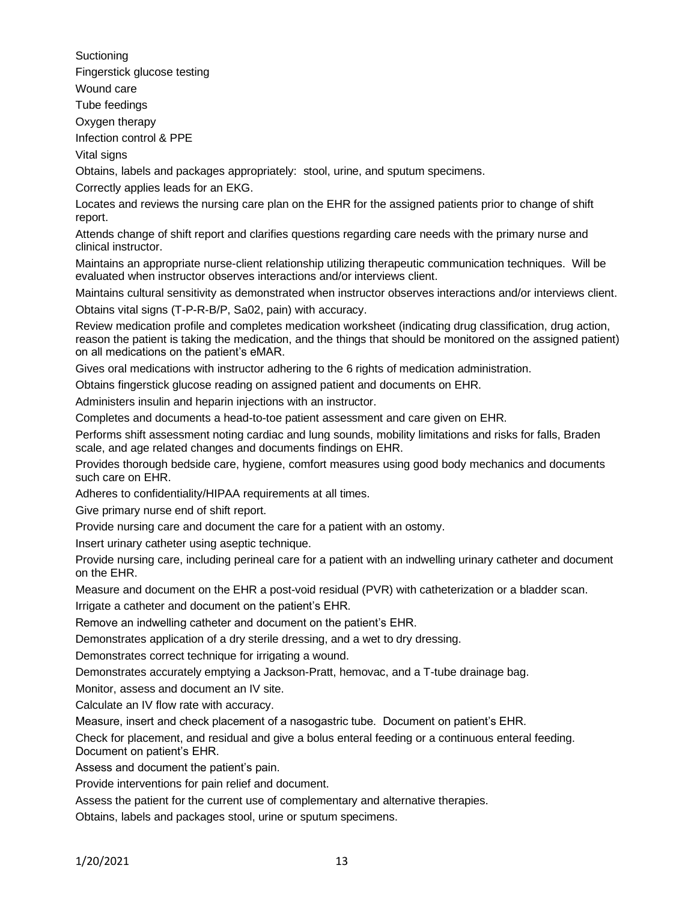**Suctioning** Fingerstick glucose testing Wound care Tube feedings Oxygen therapy Infection control & PPE

Vital signs

Obtains, labels and packages appropriately: stool, urine, and sputum specimens.

Correctly applies leads for an EKG.

Locates and reviews the nursing care plan on the EHR for the assigned patients prior to change of shift report.

Attends change of shift report and clarifies questions regarding care needs with the primary nurse and clinical instructor.

Maintains an appropriate nurse-client relationship utilizing therapeutic communication techniques. Will be evaluated when instructor observes interactions and/or interviews client.

Maintains cultural sensitivity as demonstrated when instructor observes interactions and/or interviews client.

Obtains vital signs (T-P-R-B/P, Sa02, pain) with accuracy.

Review medication profile and completes medication worksheet (indicating drug classification, drug action, reason the patient is taking the medication, and the things that should be monitored on the assigned patient) on all medications on the patient's eMAR.

Gives oral medications with instructor adhering to the 6 rights of medication administration.

Obtains fingerstick glucose reading on assigned patient and documents on EHR.

Administers insulin and heparin injections with an instructor.

Completes and documents a head-to-toe patient assessment and care given on EHR.

Performs shift assessment noting cardiac and lung sounds, mobility limitations and risks for falls, Braden scale, and age related changes and documents findings on EHR.

Provides thorough bedside care, hygiene, comfort measures using good body mechanics and documents such care on EHR.

Adheres to confidentiality/HIPAA requirements at all times.

Give primary nurse end of shift report.

Provide nursing care and document the care for a patient with an ostomy.

Insert urinary catheter using aseptic technique.

Provide nursing care, including perineal care for a patient with an indwelling urinary catheter and document on the EHR.

Measure and document on the EHR a post-void residual (PVR) with catheterization or a bladder scan.

Irrigate a catheter and document on the patient's EHR.

Remove an indwelling catheter and document on the patient's EHR.

Demonstrates application of a dry sterile dressing, and a wet to dry dressing.

Demonstrates correct technique for irrigating a wound.

Demonstrates accurately emptying a Jackson-Pratt, hemovac, and a T-tube drainage bag.

Monitor, assess and document an IV site.

Calculate an IV flow rate with accuracy.

Measure, insert and check placement of a nasogastric tube. Document on patient's EHR.

Check for placement, and residual and give a bolus enteral feeding or a continuous enteral feeding. Document on patient's EHR.

Assess and document the patient's pain.

Provide interventions for pain relief and document.

Assess the patient for the current use of complementary and alternative therapies.

Obtains, labels and packages stool, urine or sputum specimens.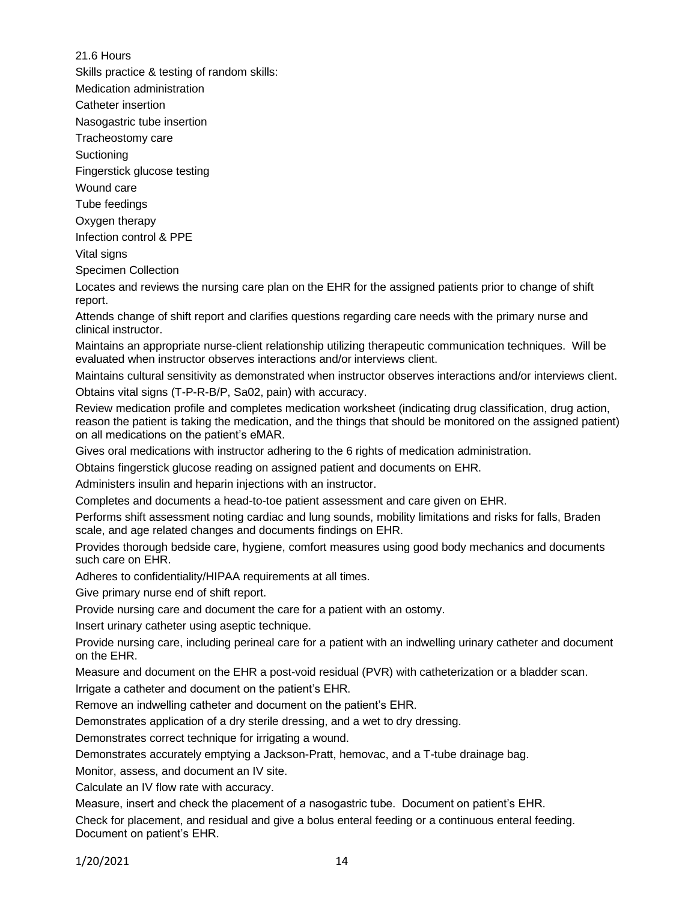21.6 Hours

Skills practice & testing of random skills:

Medication administration

Catheter insertion

Nasogastric tube insertion

Tracheostomy care

Suctioning

Fingerstick glucose testing

Wound care

Tube feedings

Oxygen therapy

Infection control & PPE

Vital signs

Specimen Collection

Locates and reviews the nursing care plan on the EHR for the assigned patients prior to change of shift report.

Attends change of shift report and clarifies questions regarding care needs with the primary nurse and clinical instructor.

Maintains an appropriate nurse-client relationship utilizing therapeutic communication techniques. Will be evaluated when instructor observes interactions and/or interviews client.

Maintains cultural sensitivity as demonstrated when instructor observes interactions and/or interviews client. Obtains vital signs (T-P-R-B/P, Sa02, pain) with accuracy.

Review medication profile and completes medication worksheet (indicating drug classification, drug action, reason the patient is taking the medication, and the things that should be monitored on the assigned patient) on all medications on the patient's eMAR.

Gives oral medications with instructor adhering to the 6 rights of medication administration.

Obtains fingerstick glucose reading on assigned patient and documents on EHR.

Administers insulin and heparin injections with an instructor.

Completes and documents a head-to-toe patient assessment and care given on EHR.

Performs shift assessment noting cardiac and lung sounds, mobility limitations and risks for falls, Braden scale, and age related changes and documents findings on EHR.

Provides thorough bedside care, hygiene, comfort measures using good body mechanics and documents such care on EHR.

Adheres to confidentiality/HIPAA requirements at all times.

Give primary nurse end of shift report.

Provide nursing care and document the care for a patient with an ostomy.

Insert urinary catheter using aseptic technique.

Provide nursing care, including perineal care for a patient with an indwelling urinary catheter and document on the EHR.

Measure and document on the EHR a post-void residual (PVR) with catheterization or a bladder scan.

Irrigate a catheter and document on the patient's EHR.

Remove an indwelling catheter and document on the patient's EHR.

Demonstrates application of a dry sterile dressing, and a wet to dry dressing.

Demonstrates correct technique for irrigating a wound.

Demonstrates accurately emptying a Jackson-Pratt, hemovac, and a T-tube drainage bag.

Monitor, assess, and document an IV site.

Calculate an IV flow rate with accuracy.

Measure, insert and check the placement of a nasogastric tube. Document on patient's EHR.

Check for placement, and residual and give a bolus enteral feeding or a continuous enteral feeding. Document on patient's EHR.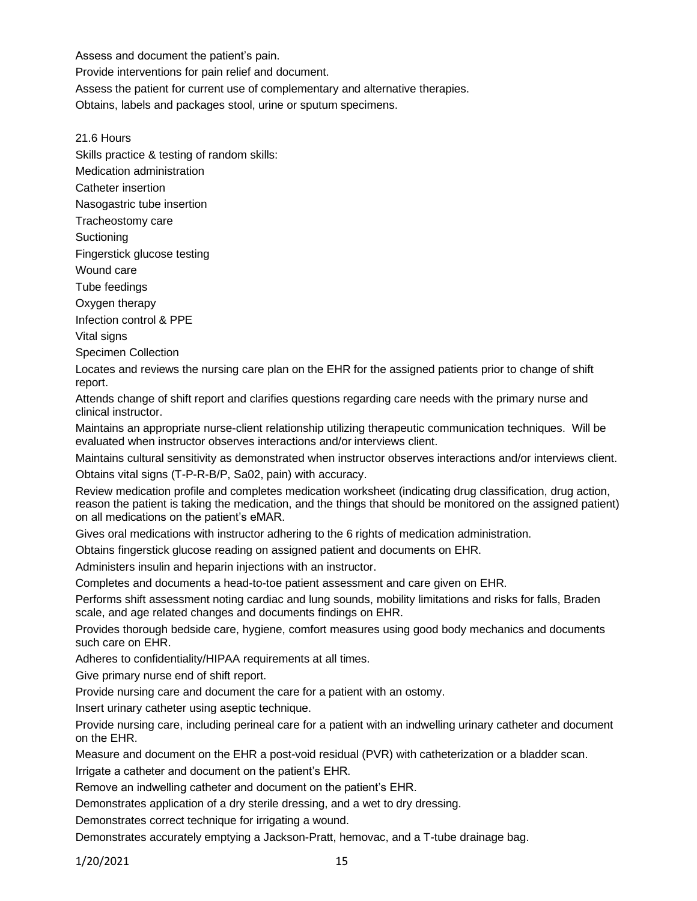Assess and document the patient's pain.

Provide interventions for pain relief and document.

Assess the patient for current use of complementary and alternative therapies.

Obtains, labels and packages stool, urine or sputum specimens.

21.6 Hours

Skills practice & testing of random skills:

Medication administration

Catheter insertion

Nasogastric tube insertion

Tracheostomy care

**Suctioning** 

Fingerstick glucose testing

Wound care

Tube feedings

Oxygen therapy

Infection control & PPE

Vital signs

Specimen Collection

Locates and reviews the nursing care plan on the EHR for the assigned patients prior to change of shift report.

Attends change of shift report and clarifies questions regarding care needs with the primary nurse and clinical instructor.

Maintains an appropriate nurse-client relationship utilizing therapeutic communication techniques. Will be evaluated when instructor observes interactions and/or interviews client.

Maintains cultural sensitivity as demonstrated when instructor observes interactions and/or interviews client.

Obtains vital signs (T-P-R-B/P, Sa02, pain) with accuracy.

Review medication profile and completes medication worksheet (indicating drug classification, drug action, reason the patient is taking the medication, and the things that should be monitored on the assigned patient) on all medications on the patient's eMAR.

Gives oral medications with instructor adhering to the 6 rights of medication administration.

Obtains fingerstick glucose reading on assigned patient and documents on EHR.

Administers insulin and heparin injections with an instructor.

Completes and documents a head-to-toe patient assessment and care given on EHR.

Performs shift assessment noting cardiac and lung sounds, mobility limitations and risks for falls, Braden scale, and age related changes and documents findings on EHR.

Provides thorough bedside care, hygiene, comfort measures using good body mechanics and documents such care on EHR.

Adheres to confidentiality/HIPAA requirements at all times.

Give primary nurse end of shift report.

Provide nursing care and document the care for a patient with an ostomy.

Insert urinary catheter using aseptic technique.

Provide nursing care, including perineal care for a patient with an indwelling urinary catheter and document on the EHR.

Measure and document on the EHR a post-void residual (PVR) with catheterization or a bladder scan.

Irrigate a catheter and document on the patient's EHR.

Remove an indwelling catheter and document on the patient's EHR.

Demonstrates application of a dry sterile dressing, and a wet to dry dressing.

Demonstrates correct technique for irrigating a wound.

Demonstrates accurately emptying a Jackson-Pratt, hemovac, and a T-tube drainage bag.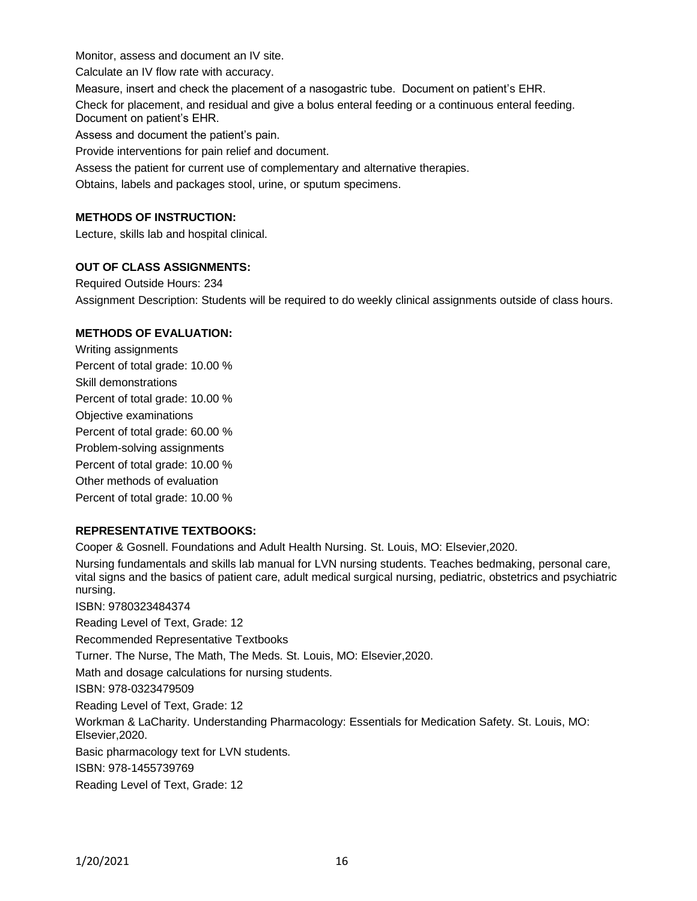Monitor, assess and document an IV site.

Calculate an IV flow rate with accuracy.

Measure, insert and check the placement of a nasogastric tube. Document on patient's EHR.

Check for placement, and residual and give a bolus enteral feeding or a continuous enteral feeding. Document on patient's EHR.

Assess and document the patient's pain.

Provide interventions for pain relief and document.

Assess the patient for current use of complementary and alternative therapies.

Obtains, labels and packages stool, urine, or sputum specimens.

# **METHODS OF INSTRUCTION:**

Lecture, skills lab and hospital clinical.

### **OUT OF CLASS ASSIGNMENTS:**

Required Outside Hours: 234 Assignment Description: Students will be required to do weekly clinical assignments outside of class hours.

### **METHODS OF EVALUATION:**

Writing assignments Percent of total grade: 10.00 % Skill demonstrations Percent of total grade: 10.00 % Objective examinations Percent of total grade: 60.00 % Problem-solving assignments Percent of total grade: 10.00 % Other methods of evaluation Percent of total grade: 10.00 %

### **REPRESENTATIVE TEXTBOOKS:**

Cooper & Gosnell. Foundations and Adult Health Nursing. St. Louis, MO: Elsevier,2020.

Nursing fundamentals and skills lab manual for LVN nursing students. Teaches bedmaking, personal care, vital signs and the basics of patient care, adult medical surgical nursing, pediatric, obstetrics and psychiatric nursing.

ISBN: 9780323484374 Reading Level of Text, Grade: 12 Recommended Representative Textbooks Turner. The Nurse, The Math, The Meds. St. Louis, MO: Elsevier,2020. Math and dosage calculations for nursing students. ISBN: 978-0323479509 Reading Level of Text, Grade: 12 Workman & LaCharity. Understanding Pharmacology: Essentials for Medication Safety. St. Louis, MO: Elsevier,2020. Basic pharmacology text for LVN students. ISBN: 978-1455739769 Reading Level of Text, Grade: 12